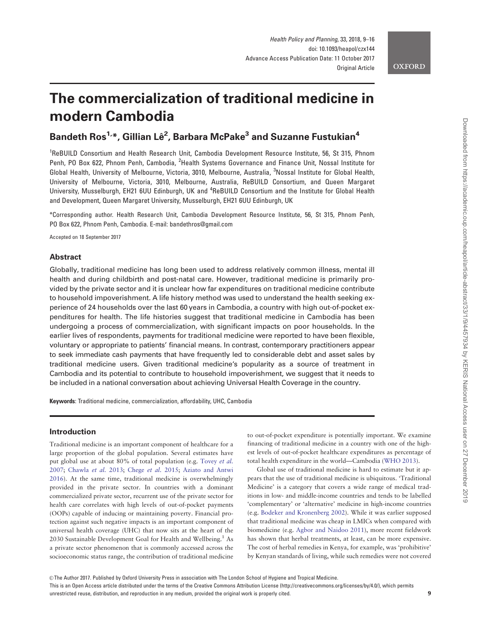# The commercialization of traditional medicine in modern Cambodia

## Bandeth Ros<sup>1,</sup>\*, Gillian Lê<sup>2</sup>, Barbara McPake<sup>3</sup> and Suzanne Fustukian<sup>4</sup>

<sup>1</sup>ReBUILD Consortium and Health Research Unit, Cambodia Development Resource Institute, 56, St 315, Phnom Penh, PO Box 622, Phnom Penh, Cambodia, <sup>2</sup>Health Systems Governance and Finance Unit, Nossal Institute for Global Health, University of Melbourne, Victoria, 3010, Melbourne, Australia, <sup>3</sup>Nossal Institute for Global Health, University of Melbourne, Victoria, 3010, Melbourne, Australia, ReBUILD Consortium, and Queen Margaret University, Musselburgh, EH21 6UU Edinburgh, UK and <sup>4</sup>ReBUILD Consortium and the Institute for Global Health and Development, Queen Margaret University, Musselburgh, EH21 6UU Edinburgh, UK

\*Corresponding author. Health Research Unit, Cambodia Development Resource Institute, 56, St 315, Phnom Penh, PO Box 622, Phnom Penh, Cambodia. E-mail: bandethros@gmail.com

Accepted on 18 September 2017

## Abstract

Globally, traditional medicine has long been used to address relatively common illness, mental ill health and during childbirth and post-natal care. However, traditional medicine is primarily provided by the private sector and it is unclear how far expenditures on traditional medicine contribute to household impoverishment. A life history method was used to understand the health seeking experience of 24 households over the last 60 years in Cambodia, a country with high out-of-pocket expenditures for health. The life histories suggest that traditional medicine in Cambodia has been undergoing a process of commercialization, with significant impacts on poor households. In the earlier lives of respondents, payments for traditional medicine were reported to have been flexible, voluntary or appropriate to patients' financial means. In contrast, contemporary practitioners appear to seek immediate cash payments that have frequently led to considerable debt and asset sales by traditional medicine users. Given traditional medicine's popularity as a source of treatment in Cambodia and its potential to contribute to household impoverishment, we suggest that it needs to be included in a national conversation about achieving Universal Health Coverage in the country.

Keywords: Traditional medicine, commercialization, affordability, UHC, Cambodia

### Introduction

Traditional medicine is an important component of healthcare for a large proportion of the global population. Several estimates have put global use at about 80% of total population (e.g. [Tovey](#page-7-0) et al. [2007;](#page-7-0) [Chawla](#page-7-0) et al. 2013; [Chege](#page-7-0) et al. 2015; [Aziato and Antwi](#page-7-0) [2016\)](#page-7-0). At the same time, traditional medicine is overwhelmingly provided in the private sector. In countries with a dominant commercialized private sector, recurrent use of the private sector for health care correlates with high levels of out-of-pocket payments (OOPs) capable of inducing or maintaining poverty. Financial protection against such negative impacts is an important component of universal health coverage (UHC) that now sits at the heart of the 2030 Sustainable Development Goal for Health and Wellbeing.<sup>1</sup> As a private sector phenomenon that is commonly accessed across the socioeconomic status range, the contribution of traditional medicine

to out-of-pocket expenditure is potentially important. We examine financing of traditional medicine in a country with one of the highest levels of out-of-pocket healthcare expenditures as percentage of total health expenditure in the world—Cambodia [\(WHO 2013](#page-7-0)).

Global use of traditional medicine is hard to estimate but it appears that the use of traditional medicine is ubiquitous. 'Traditional Medicine' is a category that covers a wide range of medical traditions in low- and middle-income countries and tends to be labelled 'complementary' or 'alternative' medicine in high-income countries (e.g. [Bodeker and Kronenberg 2002](#page-7-0)). While it was earlier supposed that traditional medicine was cheap in LMICs when compared with biomedicine (e.g. [Agbor and Naidoo 2011\)](#page-7-0), more recent fieldwork has shown that herbal treatments, at least, can be more expensive. The cost of herbal remedies in Kenya, for example, was 'prohibitive' by Kenyan standards of living, while such remedies were not covered

 $\circ$  The Author 2017. Published by Oxford University Press in association with The London School of Hygiene and Tropical Medicine.

This is an Open Access article distributed under the terms of the Creative Commons Attribution License (http://creativecommons.org/licenses/by/4.0/), which permits unrestricted reuse, distribution, and reproduction in any medium, provided the original work is properly cited. 9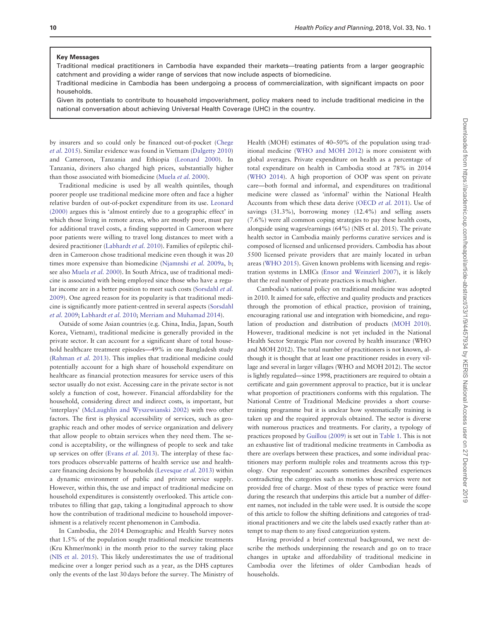#### Key Messages

Traditional medical practitioners in Cambodia have expanded their markets—treating patients from a larger geographic catchment and providing a wider range of services that now include aspects of biomedicine.

Traditional medicine in Cambodia has been undergoing a process of commercialization, with significant impacts on poor households.

Given its potentials to contribute to household impoverishment, policy makers need to include traditional medicine in the national conversation about achieving Universal Health Coverage (UHC) in the country.

by insurers and so could only be financed out-of-pocket ([Chege](#page-7-0) et al. [2015\)](#page-7-0). Similar evidence was found in Vietnam [\(Dalgetty 2010](#page-7-0)) and Cameroon, Tanzania and Ethiopia [\(Leonard 2000](#page-7-0)). In Tanzania, diviners also charged high prices, substantially higher than those associated with biomedicine ([Muela](#page-7-0) et al. 2000).

Traditional medicine is used by all wealth quintiles, though poorer people use traditional medicine more often and face a higher relative burden of out-of-pocket expenditure from its use. [Leonard](#page-7-0) [\(2000\)](#page-7-0) argues this is 'almost entirely due to a geographic effect' in which those living in remote areas, who are mostly poor, must pay for additional travel costs, a finding supported in Cameroon where poor patients were willing to travel long distances to meet with a desired practitioner [\(Labhardt](#page-7-0) et al. 2010). Families of epileptic children in Cameroon chose traditional medicine even though it was 20 times more expensive than biomedicine ([Njamnshi](#page-7-0) et al. 2009a, [b;](#page-7-0) see also [Muela](#page-7-0) et al. 2000). In South Africa, use of traditional medicine is associated with being employed since those who have a regular income are in a better position to meet such costs ([Sorsdahl](#page-7-0) et al. [2009\)](#page-7-0). One agreed reason for its popularity is that traditional medicine is significantly more patient-centred in several aspects ([Sorsdahl](#page-7-0) et al. [2009](#page-7-0); [Labhardt](#page-7-0) et al. 2010; [Merriam and Muhamad 2014\)](#page-7-0).

Outside of some Asian countries (e.g. China, India, Japan, South Korea, Vietnam), traditional medicine is generally provided in the private sector. It can account for a significant share of total household healthcare treatment episodes—49% in one Bangladesh study ([Rahman](#page-7-0) et al. 2013). This implies that traditional medicine could potentially account for a high share of household expenditure on healthcare as financial protection measures for service users of this sector usually do not exist. Accessing care in the private sector is not solely a function of cost, however. Financial affordability for the household, considering direct and indirect costs, is important, but 'interplays' [\(McLaughlin and Wyszewianski 2002\)](#page-7-0) with two other factors. The first is physical accessibility of services, such as geographic reach and other modes of service organization and delivery that allow people to obtain services when they need them. The second is acceptability, or the willingness of people to seek and take up services on offer ([Evans](#page-7-0) et al. 2013). The interplay of these factors produces observable patterns of health service use and healthcare financing decisions by households [\(Levesque](#page-7-0) et al. 2013) within a dynamic environment of public and private service supply. However, within this, the use and impact of traditional medicine on household expenditures is consistently overlooked. This article contributes to filling that gap, taking a longitudinal approach to show how the contribution of traditional medicine to household impoverishment is a relatively recent phenomenon in Cambodia.

In Cambodia, the 2014 Demographic and Health Survey notes that 1.5% of the population sought traditional medicine treatments (Kru Khmer/monk) in the month prior to the survey taking place ([NIS et al. 2015\)](#page-7-0). This likely underestimates the use of traditional medicine over a longer period such as a year, as the DHS captures only the events of the last 30 days before the survey. The Ministry of

Health (MOH) estimates of 40–50% of the population using traditional medicine [\(WHO and MOH 2012](#page-7-0)) is more consistent with global averages. Private expenditure on health as a percentage of total expenditure on health in Cambodia stood at 78% in 2014 ([WHO 2014\)](#page-7-0). A high proportion of OOP was spent on private care—both formal and informal, and expenditures on traditional medicine were classed as 'informal' within the National Health Accounts from which these data derive ([OECD](#page-7-0) et al. 2011). Use of savings (31.3%), borrowing money (12.4%) and selling assets (7.6%) were all common coping strategies to pay these health costs, alongside using wages/earnings (64%) (NIS et al. 2015). The private health sector in Cambodia mainly performs curative services and is composed of licensed and unlicensed providers. Cambodia has about 5500 licensed private providers that are mainly located in urban areas [\(WHO 2015](#page-7-0)). Given known problems with licensing and registration systems in LMICs ([Ensor and Weinzierl 2007](#page-7-0)), it is likely that the real number of private practices is much higher.

Cambodia's national policy on traditional medicine was adopted in 2010. It aimed for safe, effective and quality products and practices through the promotion of ethical practice, provision of training, encouraging rational use and integration with biomedicine, and regulation of production and distribution of products [\(MOH 2010](#page-7-0)). However, traditional medicine is not yet included in the National Health Sector Strategic Plan nor covered by health insurance (WHO and MOH 2012). The total number of practitioners is not known, although it is thought that at least one practitioner resides in every village and several in larger villages (WHO and MOH 2012). The sector is lightly regulated—since 1998, practitioners are required to obtain a certificate and gain government approval to practice, but it is unclear what proportion of practitioners conforms with this regulation. The National Centre of Traditional Medicine provides a short coursetraining programme but it is unclear how systematically training is taken up and the required approvals obtained. The sector is diverse with numerous practices and treatments. For clarity, a typology of practices proposed by [Guillou \(2009\)](#page-7-0) is set out in [Table 1](#page-2-0). This is not an exhaustive list of traditional medicine treatments in Cambodia as there are overlaps between these practices, and some individual practitioners may perform multiple roles and treatments across this typology. Our respondent' accounts sometimes described experiences contradicting the categories such as monks whose services were not provided free of charge. Most of these types of practice were found during the research that underpins this article but a number of different names, not included in the table were used. It is outside the scope of this article to follow the shifting definitions and categories of traditional practitioners and we cite the labels used exactly rather than attempt to map them to any fixed categorization system.

Having provided a brief contextual background, we next describe the methods underpinning the research and go on to trace changes in uptake and affordability of traditional medicine in Cambodia over the lifetimes of older Cambodian heads of households.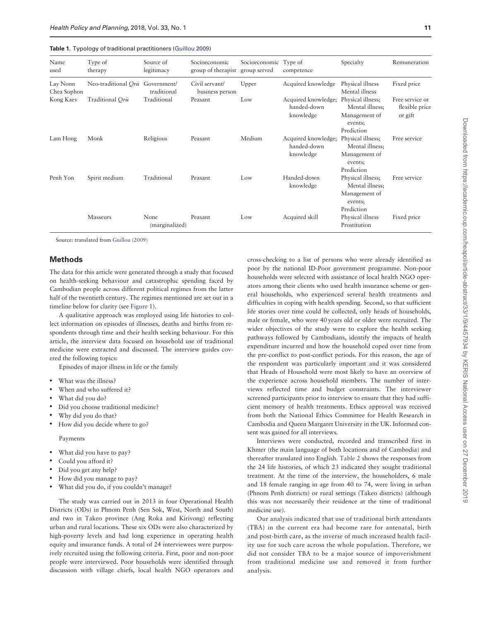<span id="page-2-0"></span>

|  |  |  |  | Table 1. Typology of traditional practitioners (Guillou 2009) |
|--|--|--|--|---------------------------------------------------------------|
|--|--|--|--|---------------------------------------------------------------|

| Name<br>used            | Type of<br>therapy              | Source of<br>legitimacy | Socioeconomic<br>group of therapist | Socioeconomic Type of<br>group served | competence                                      | Specialty                                                                      | Remuneration                                 |
|-------------------------|---------------------------------|-------------------------|-------------------------------------|---------------------------------------|-------------------------------------------------|--------------------------------------------------------------------------------|----------------------------------------------|
| Lay Nonn<br>Chea Sophon | Neo-traditional Orū Government/ | traditional             | Civil servant/<br>business person   | Upper                                 | Acquired knowledge                              | Physical illness<br>Mental illness                                             | Fixed price                                  |
| Kong Kaev               | Traditional Orū                 | Traditional             | Peasant                             | Low                                   | Acquired knowledge;<br>handed-down<br>knowledge | Physical illness;<br>Mental illness;<br>Management of<br>events;<br>Prediction | Free service or<br>flexible price<br>or gift |
| Lam Hong                | Monk                            | Religious               | Peasant                             | Medium                                | Acquired knowledge;<br>handed-down<br>knowledge | Physical illness;<br>Mental illness;<br>Management of<br>events;<br>Prediction | Free service                                 |
| Penh Yon                | Spirit medium                   | Traditional             | Peasant                             | Low                                   | Handed-down<br>knowledge                        | Physical illness;<br>Mental illness;<br>Management of<br>events;<br>Prediction | Free service                                 |
|                         | Masseurs                        | None<br>(marginalized)  | Peasant                             | Low                                   | Acquired skill                                  | Physical illness<br>Prostitution                                               | Fixed price                                  |

Source: translated from [Guillou \(2009\)](#page-7-0)

#### **Methods**

The data for this article were generated through a study that focused on health-seeking behaviour and catastrophic spending faced by Cambodian people across different political regimes from the latter half of the twentieth century. The regimes mentioned are set out in a timeline below for clarity (see [Figure 1](#page-3-0)).

A qualitative approach was employed using life histories to collect information on episodes of illnesses, deaths and births from respondents through time and their health seeking behaviour. For this article, the interview data focused on household use of traditional medicine were extracted and discussed. The interview guides covered the following topics:

Episodes of major illness in life or the family

- What was the illness?
- When and who suffered it?
- What did you do?
- Did you choose traditional medicine?
- Why did you do that?
- How did you decide where to go?

Payments

- What did you have to pay?
- Could you afford it?
- Did you get any help?
- How did you manage to pay?
- What did you do, if you couldn't manage?

The study was carried out in 2013 in four Operational Health Districts (ODs) in Phnom Penh (Sen Sok, West, North and South) and two in Takeo province (Ang Roka and Kirivong) reflecting urban and rural locations. These six ODs were also characterized by high-poverty levels and had long experience in operating health equity and insurance funds. A total of 24 interviewees were purposively recruited using the following criteria. First, poor and non-poor people were interviewed. Poor households were identified through discussion with village chiefs, local health NGO operators and cross-checking to a list of persons who were already identified as poor by the national ID-Poor government programme. Non-poor households were selected with assistance of local health NGO operators among their clients who used health insurance scheme or general households, who experienced several health treatments and difficulties in coping with health spending. Second, so that sufficient life stories over time could be collected, only heads of households, male or female, who were 40 years old or older were recruited. The wider objectives of the study were to explore the health seeking pathways followed by Cambodians, identify the impacts of health expenditure incurred and how the household coped over time from the pre-conflict to post-conflict periods. For this reason, the age of the respondent was particularly important and it was considered that Heads of Household were most likely to have an overview of the experience across household members. The number of interviews reflected time and budget constraints. The interviewer screened participants prior to interview to ensure that they had sufficient memory of health treatments. Ethics approval was received from both the National Ethics Committee for Health Research in Cambodia and Queen Margaret University in the UK. Informed consent was gained for all interviews.

Interviews were conducted, recorded and transcribed first in Khmer (the main language of both locations and of Cambodia) and thereafter translated into English. [Table 2](#page-3-0) shows the responses from the 24 life histories, of which 23 indicated they sought traditional treatment. At the time of the interview, the householders, 6 male and 18 female ranging in age from 40 to 74, were living in urban (Phnom Penh districts) or rural settings (Takeo districts) (although this was not necessarily their residence at the time of traditional medicine use).

Our analysis indicated that use of traditional birth attendants (TBA) in the current era had become rare for antenatal, birth and post-birth care, as the inverse of much increased health facility use for such care across the whole population. Therefore, we did not consider TBA to be a major source of impoverishment from traditional medicine use and removed it from further analysis.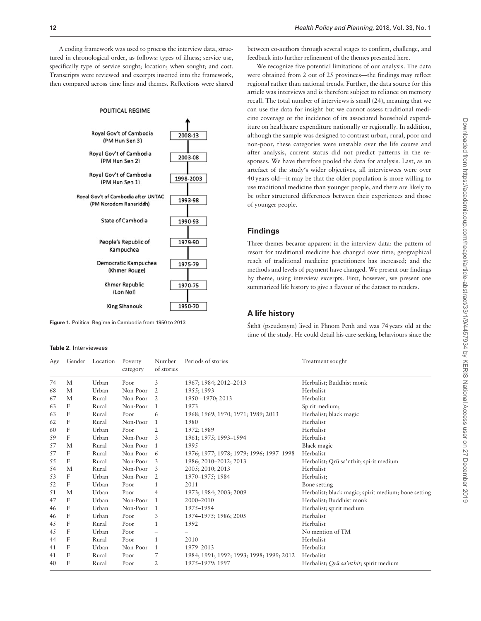<span id="page-3-0"></span>A coding framework was used to process the interview data, structured in chronological order, as follows: types of illness; service use, specifically type of service sought; location; when sought; and cost. Transcripts were reviewed and excerpts inserted into the framework, then compared across time lines and themes. Reflections were shared

#### POLITICAL REGIME



Figure 1. Political Regime in Cambodia from 1950 to 2013

#### Table 2. Interviewees

between co-authors through several stages to confirm, challenge, and feedback into further refinement of the themes presented here.

We recognize five potential limitations of our analysis. The data were obtained from 2 out of 25 provinces—the findings may reflect regional rather than national trends. Further, the data source for this article was interviews and is therefore subject to reliance on memory recall. The total number of interviews is small (24), meaning that we can use the data for insight but we cannot assess traditional medicine coverage or the incidence of its associated household expenditure on healthcare expenditure nationally or regionally. In addition, although the sample was designed to contrast urban, rural, poor and non-poor, these categories were unstable over the life course and after analysis, current status did not predict patterns in the responses. We have therefore pooled the data for analysis. Last, as an artefact of the study's wider objectives, all interviewees were over 40 years old—it may be that the older population is more willing to use traditional medicine than younger people, and there are likely to be other structured differences between their experiences and those of younger people.

#### Findings

Three themes became apparent in the interview data: the pattern of resort for traditional medicine has changed over time; geographical reach of traditional medicine practitioners has increased; and the methods and levels of payment have changed. We present our findings by theme, using interview excerpts. First, however, we present one summarized life history to give a flavour of the dataset to readers.

## A life history

Śīthā (pseudonym) lived in Phnom Penh and was 74 years old at the time of the study. He could detail his care-seeking behaviours since the

| Age | Gender | Location | Poverty<br>category | Number<br>of stories | Periods of stories                       | Treatment sought                                    |
|-----|--------|----------|---------------------|----------------------|------------------------------------------|-----------------------------------------------------|
| 74  | M      | Urban    | Poor                | 3                    | 1967; 1984; 2012-2013                    | Herbalist; Buddhist monk                            |
| 68  | M      | Urban    | Non-Poor            | 2                    | 1955; 1993                               | Herbalist                                           |
| 67  | M      | Rural    | Non-Poor            | 2                    | 1950-1970; 2013                          | Herbalist                                           |
| 63  | F      | Rural    | Non-Poor            | 1                    | 1973                                     | Spirit medium;                                      |
| 63  | F      | Rural    | Poor                | 6                    | 1968; 1969; 1970; 1971; 1989; 2013       | Herbalist; black magic                              |
| 62  | F      | Rural    | Non-Poor            |                      | 1980                                     | Herbalist                                           |
| 60  | F      | Urban    | Poor                | 2                    | 1972; 1989                               | Herbalist                                           |
| 59  | F      | Urban    | Non-Poor            | 3                    | 1961; 1975; 1993-1994                    | Herbalist                                           |
| 57  | M      | Rural    | Non-Poor            |                      | 1995                                     | Black magic                                         |
| 57  | F      | Rural    | Non-Poor            | 6                    | 1976; 1977; 1978; 1979; 1996; 1997-1998  | Herbalist                                           |
| 55  | F      | Rural    | Non-Poor            | 3                    | 1986; 2010-2012; 2013                    | Herbalist; Qrū sa'nthit; spirit medium              |
| 54  | M      | Rural    | Non-Poor            | 3                    | 2005; 2010; 2013                         | Herbalist                                           |
| 53  | F      | Urban    | Non-Poor            | 2                    | 1970-1975; 1984                          | Herbalist;                                          |
| 52  | F      | Urban    | Poor                |                      | 2011                                     | Bone setting                                        |
| 51  | M      | Urban    | Poor                | 4                    | 1973; 1984; 2003; 2009                   | Herbalist; black magic; spirit medium; bone setting |
| 47  | F      | Urban    | Non-Poor            | 1                    | 2000-2010                                | Herbalist; Buddhist monk                            |
| 46  | F      | Urban    | Non-Poor            | 1                    | 1975-1994                                | Herbalist; spirit medium                            |
| 46  | F      | Urban    | Poor                | 3                    | 1974-1975; 1986; 2005                    | Herbalist                                           |
| 45  | F      | Rural    | Poor                | 1                    | 1992                                     | Herbalist                                           |
| 45  | F      | Urban    | Poor                |                      |                                          | No mention of TM                                    |
| 44  | F      | Rural    | Poor                | $\mathbf{1}$         | 2010                                     | Herbalist                                           |
| 41  | F      | Urban    | Non-Poor            | 1                    | 1979-2013                                | Herbalist                                           |
| 41  | F      | Rural    | Poor                | 7                    | 1984; 1991; 1992; 1993; 1998; 1999; 2012 | Herbalist                                           |
| 40  | F      | Rural    | Poor                | 2                    | 1975-1979; 1997                          | Herbalist; <i>Orū sa'nthit</i> ; spirit medium      |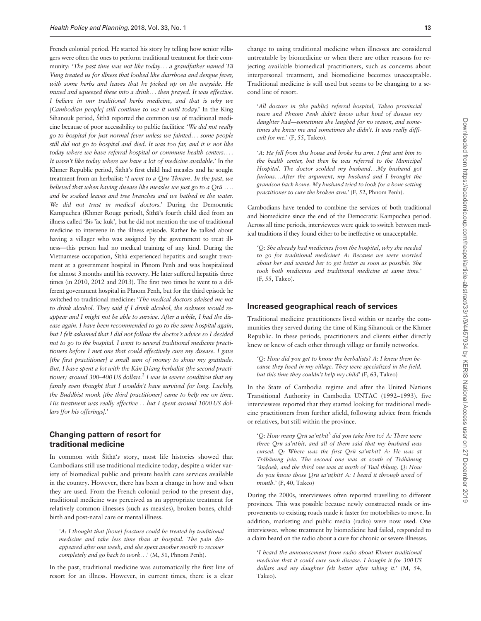French colonial period. He started his story by telling how senior villagers were often the ones to perform traditional treatment for their community: 'The past time was not like today... a grandfather named Ta- Vung treated us for illness that looked like diarrhoea and dengue fever, with some herbs and leaves that he picked up on the wayside. He mixed and squeezed these into a drink... then prayed. It was effective. I believe in our traditional herbs medicine, and that is why we [Cambodian people] still continue to use it until today.' In the King Sihanouk period, Śīthā reported the common use of traditional medicine because of poor accessibility to public facilities: 'We did not really go to hospital for just normal fever unless we fainted... some people still did not go to hospital and died. It was too far, and it is not like today where we have referral hospital or commune health centers... . It wasn't like today where we have a lot of medicine available.' In the Khmer Republic period, Śīthā's first child had measles and he sought treatment from an herbalist: 'I went to a Qrū Thnām. In the past, we believed that when having disease like measles we just go to a Qr $\bar u$  .  $...$ and he soaked leaves and tree branches and we bathed in the water. We did not trust in medical doctors.' During the Democratic Kampuchea (Khmer Rouge period), Śīthā's fourth child died from an illness called 'Bis 'āc kuk', but he did not mention the use of traditional medicine to intervene in the illness episode. Rather he talked about having a villager who was assigned by the government to treat illness—this person had no medical training of any kind. During the Vietnamese occupation, Śīthā experienced hepatitis and sought treatment at a government hospital in Phnom Penh and was hospitalized for almost 3 months until his recovery. He later suffered hepatitis three times (in 2010, 2012 and 2013). The first two times he went to a different government hospital in Phnom Penh, but for the third episode he switched to traditional medicine: 'The medical doctors advised me not to drink alcohol. They said if I drink alcohol, the sickness would reappear and I might not be able to survive. After a while, I had the disease again. I have been recommended to go to the same hospital again, but I felt ashamed that I did not follow the doctor's advice so I decided not to go to the hospital. I went to several traditional medicine practitioners before I met one that could effectively cure my disease. I gave [the first practitioner] a small sum of money to show my gratitude. But, I have spent a lot with the Kán Diang herbalist (the second practitioner) around 300–400 US dollars.<sup>2</sup> I was in severe condition that my family even thought that I wouldn't have survived for long. Luckily, the Buddhist monk [the third practitioner] came to help me on time. His treatment was really effective ...but I spent around 1000 US dollars [for his offerings].'

## Changing pattern of resort for traditional medicine

In common with Śīthā's story, most life histories showed that Cambodians still use traditional medicine today, despite a wider variety of biomedical public and private health care services available in the country. However, there has been a change in how and when they are used. From the French colonial period to the present day, traditional medicine was perceived as an appropriate treatment for relatively common illnesses (such as measles), broken bones, childbirth and post-natal care or mental illness.

'A: I thought that [bone] fracture could be treated by traditional medicine and take less time than at hospital. The pain disappeared after one week, and she spent another month to recover completely and go back to work...' (M, 51, Phnom Penh).

In the past, traditional medicine was automatically the first line of resort for an illness. However, in current times, there is a clear

change to using traditional medicine when illnesses are considered untreatable by biomedicine or when there are other reasons for rejecting available biomedical practitioners, such as concerns about interpersonal treatment, and biomedicine becomes unacceptable. Traditional medicine is still used but seems to be changing to a second line of resort.

'All doctors in (the public) referral hospital, Takeo provincial town and Phnom Penh didn't know what kind of disease my daughter had—sometimes she laughed for no reason, and sometimes she knew me and sometimes she didn't. It was really difficult for me.' (F, 55, Takeo).

'A: He fell from this house and broke his arm. I first sent him to the health center, but then he was referred to the Municipal Hospital. The doctor scolded my husband...My husband got furious...After the argument, my husband and I brought the grandson back home. My husband tried to look for a bone setting practitioner to cure the broken arm.' (F, 52, Phnom Penh).

Cambodians have tended to combine the services of both traditional and biomedicine since the end of the Democratic Kampuchea period. Across all time periods, interviewees were quick to switch between medical traditions if they found either to be ineffective or unacceptable.

'Q: She already had medicines from the hospital, why she needed to go for traditional medicine? A: Because we were worried about her and wanted her to get better as soon as possible. She took both medicines and traditional medicine at same time.' (F, 55, Takeo).

#### Increased geographical reach of services

Traditional medicine practitioners lived within or nearby the communities they served during the time of King Sihanouk or the Khmer Republic. In these periods, practitioners and clients either directly knew or knew of each other through village or family networks.

'Q: How did you get to know the herbalists? A: I knew them because they lived in my village. They were specialized in the field, but this time they couldn't help my child' (F, 63, Takeo)

In the State of Cambodia regime and after the United Nations Transitional Authority in Cambodia UNTAC (1992–1993), five interviewees reported that they started looking for traditional medicine practitioners from further afield, following advice from friends or relatives, but still within the province.

'Q: How many Qrū sa'nthit $^3$  did you take him to? A: There were three Qrū sa'nthit, and all of them said that my husband was cursed. Q: Where was the first Qrū sa'nthit? A: He was at Trábāmng jvia. The second one was at south of Trábāmng 'a´ ndoek, and the third one was at north of Tual thlung. Q: How : do you know those Qrū sa'nt hit? A: I heard it through word of mouth.' (F, 40, Takeo)

During the 2000s, interviewees often reported travelling to different provinces. This was possible because newly constructed roads or improvements to existing roads made it faster for motorbikes to move. In addition, marketing and public media (radio) were now used. One interviewee, whose treatment by biomedicine had failed, responded to a claim heard on the radio about a cure for chronic or severe illnesses.

'I heard the announcement from radio about Khmer traditional medicine that it could cure such disease. I bought it for 300 US dollars and my daughter felt better after taking it.' (M, 54, Takeo).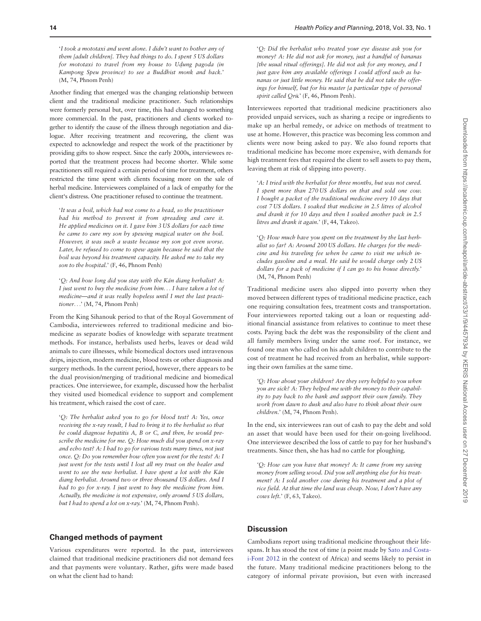'I took a mototaxi and went alone. I didn't want to bother any of them [adult children]. They had things to do. I spent 5 US dollars for mototaxi to travel from my house to Udung pagoda (in : Kampong Speu province) to see a Buddhist monk and back.' (M, 74, Phnom Penh)

Another finding that emerged was the changing relationship between client and the traditional medicine practitioner. Such relationships were formerly personal but, over time, this had changed to something more commercial. In the past, practitioners and clients worked together to identify the cause of the illness through negotiation and dialogue. After receiving treatment and recovering, the client was expected to acknowledge and respect the work of the practitioner by providing gifts to show respect. Since the early 2000s, interviewees reported that the treatment process had become shorter. While some practitioners still required a certain period of time for treatment, others restricted the time spent with clients focusing more on the sale of herbal medicine. Interviewees complained of a lack of empathy for the client's distress. One practitioner refused to continue the treatment.

'It was a boil, which had not come to a head, so the practitioner had his method to prevent it from spreading and cure it. He applied medicines on it. I gave him 3 US dollars for each time he came to cure my son by spewing magical water on the boil. However, it was such a waste because my son got even worse. Later, he refused to come to spew again because he said that the boil was beyond his treatment capacity. He asked me to take my son to the hospital.' (F, 46, Phnom Penh)

'Q: And how long did you stay with the Kán diang herbalist? A: I just went to buy the medicine from him... I have taken a lot of medicine—and it was really hopeless until I met the last practitioner...' (M, 74, Phnom Penh)

From the King Sihanouk period to that of the Royal Government of Cambodia, interviewees referred to traditional medicine and biomedicine as separate bodies of knowledge with separate treatment methods. For instance, herbalists used herbs, leaves or dead wild animals to cure illnesses, while biomedical doctors used intravenous drips, injection, modern medicine, blood tests or other diagnosis and surgery methods. In the current period, however, there appears to be the dual provision/merging of traditional medicine and biomedical practices. One interviewee, for example, discussed how the herbalist they visited used biomedical evidence to support and complement his treatment, which raised the cost of care.

'Q: The herbalist asked you to go for blood test? A: Yes, once receiving the x-ray result, I had to bring it to the herbalist so that he could diagnose hepatitis A, B or C, and then, he would prescribe the medicine for me. Q: How much did you spend on x-ray and echo test? A: I had to go for various tests many times, not just once. Q: Do you remember how often you went for the tests? A: I just went for the tests until I lost all my trust on the healer and went to see the new herbalist. I have spent a lot with the Kán diang herbalist. Around two or three thousand US dollars. And I had to go for x-ray. I just went to buy the medicine from him. Actually, the medicine is not expensive, only around 5 US dollars, but I had to spend a lot on x-ray.' (M, 74, Phnom Penh).

#### Changed methods of payment

Various expenditures were reported. In the past, interviewees claimed that traditional medicine practitioners did not demand fees and that payments were voluntary. Rather, gifts were made based on what the client had to hand:

'Q: Did the herbalist who treated your eye disease ask you for money? A: He did not ask for money, just a handful of bananas [the usual ritual offerings]. He did not ask for any money, and I just gave him any available offerings I could afford such as bananas or just little money. He said that he did not take the offerings for himself, but for his master [a particular type of personal spirit called Qrū.' (F, 46, Phnom Penh).

Interviewees reported that traditional medicine practitioners also provided unpaid services, such as sharing a recipe or ingredients to make up an herbal remedy, or advice on methods of treatment to use at home. However, this practice was becoming less common and clients were now being asked to pay. We also found reports that traditional medicine has become more expensive, with demands for high treatment fees that required the client to sell assets to pay them, leaving them at risk of slipping into poverty.

'A: I tried with the herbalist for three months, but was not cured. I spent more than 270 US dollars on that and sold one cow. I bought a packet of the traditional medicine every 10 days that cost 7 US dollars. I soaked that medicine in 2.5 litres of alcohol and drank it for 10 days and then I soaked another pack in 2.5 litres and drank it again.' (F, 44, Takeo).

'Q: How much have you spent on the treatment by the last herbalist so far? A: Around 200 US dollars. He charges for the medicine and his traveling fee when he came to visit me which includes gasoline and a meal. He said he would charge only 2 US dollars for a pack of medicine if I can go to his house directly.' (M, 74, Phnom Penh)

Traditional medicine users also slipped into poverty when they moved between different types of traditional medicine practice, each one requiring consultation fees, treatment costs and transportation. Four interviewees reported taking out a loan or requesting additional financial assistance from relatives to continue to meet these costs. Paying back the debt was the responsibility of the client and all family members living under the same roof. For instance, we found one man who called on his adult children to contribute to the cost of treatment he had received from an herbalist, while supporting their own families at the same time.

'Q: How about your children? Are they very helpful to you when you are sick? A: They helped me with the money to their capability to pay back to the bank and support their own family. They work from dawn to dusk and also have to think about their own children.' (M, 74, Phnom Penh).

In the end, six interviewees ran out of cash to pay the debt and sold an asset that would have been used for their on-going livelihood. One interviewee described the loss of cattle to pay for her husband's treatments. Since then, she has had no cattle for ploughing.

'Q: How can you have that money? A: It came from my saving money from selling wood. Did you sell anything else for his treatment? A: I sold another cow during his treatment and a plot of rice field. At that time the land was cheap. Now, I don't have any cows left.' (F, 63, Takeo).

## **Discussion**

Cambodians report using traditional medicine throughout their lifespans. It has stood the test of time (a point made by [Sato and Costa](#page-7-0)[i-Font 2012](#page-7-0) in the context of Africa) and seems likely to persist in the future. Many traditional medicine practitioners belong to the category of informal private provision, but even with increased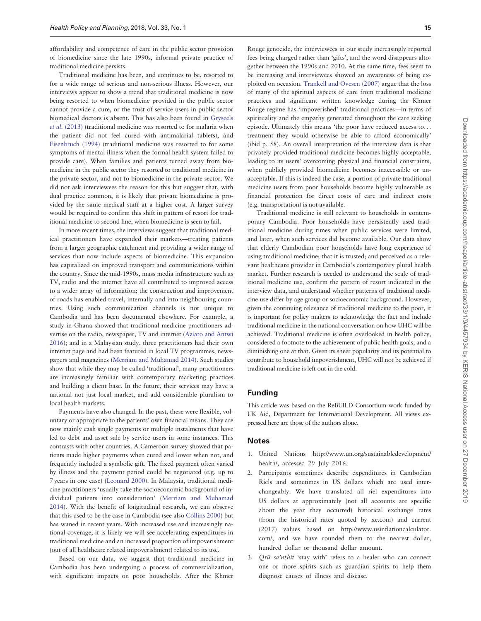affordability and competence of care in the public sector provision of biomedicine since the late 1990s, informal private practice of traditional medicine persists.

Traditional medicine has been, and continues to be, resorted to for a wide range of serious and non-serious illness. However, our interviews appear to show a trend that traditional medicine is now being resorted to when biomedicine provided in the public sector cannot provide a cure, or the trust of service users in public sector biomedical doctors is absent. This has also been found in [Gryseels](#page-7-0) et al. [\(2013\)](#page-7-0) (traditional medicine was resorted to for malaria when the patient did not feel cured with antimalarial tablets), and [Eisenbruch \(1994\)](#page-7-0) (traditional medicine was resorted to for some symptoms of mental illness when the formal health system failed to provide care). When families and patients turned away from biomedicine in the public sector they resorted to traditional medicine in the private sector, and not to biomedicine in the private sector. We did not ask interviewees the reason for this but suggest that, with dual practice common, it is likely that private biomedicine is provided by the same medical staff at a higher cost. A larger survey would be required to confirm this shift in pattern of resort for traditional medicine to second line, when biomedicine is seen to fail.

In more recent times, the interviews suggest that traditional medical practitioners have expanded their markets—treating patients from a larger geographic catchment and providing a wider range of services that now include aspects of biomedicine. This expansion has capitalized on improved transport and communications within the country. Since the mid-1990s, mass media infrastructure such as TV, radio and the internet have all contributed to improved access to a wider array of information; the construction and improvement of roads has enabled travel, internally and into neighbouring countries. Using such communication channels is not unique to Cambodia and has been documented elsewhere. For example, a study in Ghana showed that traditional medicine practitioners advertise on the radio, newspaper, TV and internet ([Aziato and Antwi](#page-7-0) [2016\)](#page-7-0); and in a Malaysian study, three practitioners had their own internet page and had been featured in local TV programmes, newspapers and magazines ([Merriam and Muhamad 2014\)](#page-7-0). Such studies show that while they may be called 'traditional', many practitioners are increasingly familiar with contemporary marketing practices and building a client base. In the future, their services may have a national not just local market, and add considerable pluralism to local health markets.

Payments have also changed. In the past, these were flexible, voluntary or appropriate to the patients' own financial means. They are now mainly cash single payments or multiple instalments that have led to debt and asset sale by service users in some instances. This contrasts with other countries. A Cameroon survey showed that patients made higher payments when cured and lower when not, and frequently included a symbolic gift. The fixed payment often varied by illness and the payment period could be negotiated (e.g. up to 7 years in one case) ([Leonard 2000\)](#page-7-0). In Malaysia, traditional medicine practitioners 'usually take the socioeconomic background of individual patients into consideration' [\(Merriam and Muhamad](#page-7-0) [2014\)](#page-7-0). With the benefit of longitudinal research, we can observe that this used to be the case in Cambodia (see also [Collins 2000\)](#page-7-0) but has waned in recent years. With increased use and increasingly national coverage, it is likely we will see accelerating expenditures in traditional medicine and an increased proportion of impoverishment (out of all healthcare related impoverishment) related to its use.

Based on our data, we suggest that traditional medicine in Cambodia has been undergoing a process of commercialization, with significant impacts on poor households. After the Khmer

Rouge genocide, the interviewees in our study increasingly reported fees being charged rather than 'gifts', and the word disappears altogether between the 1990s and 2010. At the same time, fees seem to be increasing and interviewees showed an awareness of being exploited on occasion. [Trankell and Ovesen \(2007\)](#page-7-0) argue that the loss of many of the spiritual aspects of care from traditional medicine practices and significant written knowledge during the Khmer Rouge regime has 'impoverished' traditional practices—in terms of spirituality and the empathy generated throughout the care seeking episode. Ultimately this means 'the poor have reduced access to... treatment they would otherwise be able to afford economically' (ibid p. 58). An overall interpretation of the interview data is that privately provided traditional medicine becomes highly acceptable, leading to its users' overcoming physical and financial constraints, when publicly provided biomedicine becomes inaccessible or unacceptable. If this is indeed the case, a portion of private traditional medicine users from poor households become highly vulnerable as financial protection for direct costs of care and indirect costs (e.g. transportation) is not available.

Traditional medicine is still relevant to households in contemporary Cambodia. Poor households have persistently used traditional medicine during times when public services were limited, and later, when such services did become available. Our data show that elderly Cambodian poor households have long experience of using traditional medicine; that it is trusted; and perceived as a relevant healthcare provider in Cambodia's contemporary plural health market. Further research is needed to understand the scale of traditional medicine use, confirm the pattern of resort indicated in the interview data, and understand whether patterns of traditional medicine use differ by age group or socioeconomic background. However, given the continuing relevance of traditional medicine to the poor, it is important for policy makers to acknowledge the fact and include traditional medicine in the national conversation on how UHC will be achieved. Traditional medicine is often overlooked in health policy, considered a footnote to the achievement of public health goals, and a diminishing one at that. Given its sheer popularity and its potential to contribute to household impoverishment, UHC will not be achieved if traditional medicine is left out in the cold.

### Funding

This article was based on the ReBUILD Consortium work funded by UK Aid, Department for International Development. All views expressed here are those of the authors alone.

#### Notes

- 1. United Nations [http://www.un.org/sustainabledevelopment/](http://www.un.org/sustainabledevelopment/health/) [health/](http://www.un.org/sustainabledevelopment/health/), accessed 29 July 2016.
- 2. Participants sometimes describe expenditures in Cambodian Riels and sometimes in US dollars which are used interchangeably. We have translated all riel expenditures into US dollars at approximately (not all accounts are specific about the year they occurred) historical exchange rates (from the historical rates quoted by [xe.com\)](http://xe.com) and current (2017) values based on [http://www.usinflationcalculator.](http://www.usinflationcalculator.com/) [com/,](http://www.usinflationcalculator.com/) and we have rounded them to the nearest dollar, hundred dollar or thousand dollar amount.
- 3. Qrū sa'nthit 'stay with' refers to a healer who can connect one or more spirits such as guardian spirits to help them diagnose causes of illness and disease.